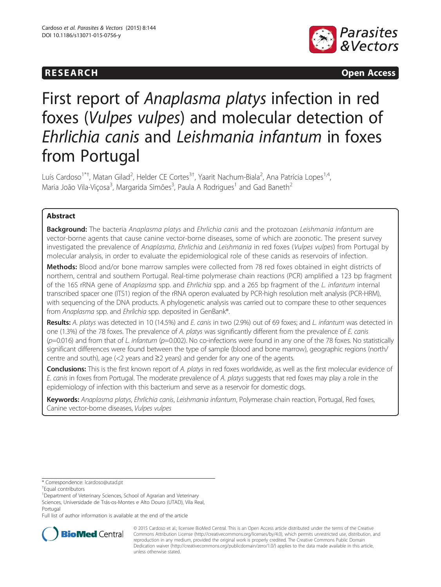

**RESEARCH CHINESEARCH CHINESEARCH CHINESE** 

# First report of Anaplasma platys infection in red foxes (Vulpes vulpes) and molecular detection of Ehrlichia canis and Leishmania infantum in foxes from Portugal

Luís Cardoso<sup>1\*†</sup>, Matan Gilad<sup>2</sup>, Helder CE Cortes<sup>3†</sup>, Yaarit Nachum-Biala<sup>2</sup>, Ana Patrícia Lopes<sup>1,4</sup>, Maria João Vila-Viçosa<sup>3</sup>, Margarida Simões<sup>3</sup>, Paula A Rodrigues<sup>1</sup> and Gad Baneth<sup>2</sup>

# Abstract

Background: The bacteria Anaplasma platys and Ehrlichia canis and the protozoan Leishmania infantum are vector-borne agents that cause canine vector-borne diseases, some of which are zoonotic. The present survey investigated the prevalence of Anaplasma, Ehrlichia and Leishmania in red foxes (Vulpes vulpes) from Portugal by molecular analysis, in order to evaluate the epidemiological role of these canids as reservoirs of infection.

Methods: Blood and/or bone marrow samples were collected from 78 red foxes obtained in eight districts of northern, central and southern Portugal. Real-time polymerase chain reactions (PCR) amplified a 123 bp fragment of the 16S rRNA gene of Anaplasma spp. and Ehrlichia spp. and a 265 bp fragment of the L. infantum internal transcribed spacer one (ITS1) region of the rRNA operon evaluated by PCR-high resolution melt analysis (PCR-HRM), with sequencing of the DNA products. A phylogenetic analysis was carried out to compare these to other sequences from Anaplasma spp. and Ehrlichia spp. deposited in GenBank®.

Results: A. platys was detected in 10 (14.5%) and E. canis in two (2.9%) out of 69 foxes; and L. infantum was detected in one (1.3%) of the 78 foxes. The prevalence of A. platys was significantly different from the prevalence of E. canis  $(p=0.016)$  and from that of L. infantum ( $p=0.002$ ). No co-infections were found in any one of the 78 foxes. No statistically significant differences were found between the type of sample (blood and bone marrow), geographic regions (north/ centre and south), age (<2 years and  $\geq$ 2 years) and gender for any one of the agents.

Conclusions: This is the first known report of A. platys in red foxes worldwide, as well as the first molecular evidence of E. canis in foxes from Portugal. The moderate prevalence of A. platys suggests that red foxes may play a role in the epidemiology of infection with this bacterium and serve as a reservoir for domestic dogs.

Keywords: Anaplasma platys, Ehrlichia canis, Leishmania infantum, Polymerase chain reaction, Portugal, Red foxes, Canine vector-borne diseases, Vulpes vulpes

\* Correspondence: [lcardoso@utad.pt](mailto:lcardoso@utad.pt) †

Equal contributors

<sup>1</sup>Department of Veterinary Sciences, School of Agrarian and Veterinary Sciences, Universidade de Trás-os-Montes e Alto Douro (UTAD), Vila Real,

Portugal

Full list of author information is available at the end of the article



© 2015 Cardoso et al.; licensee BioMed Central. This is an Open Access article distributed under the terms of the Creative Commons Attribution License [\(http://creativecommons.org/licenses/by/4.0\)](http://creativecommons.org/licenses/by/4.0), which permits unrestricted use, distribution, and reproduction in any medium, provided the original work is properly credited. The Creative Commons Public Domain Dedication waiver [\(http://creativecommons.org/publicdomain/zero/1.0/](http://creativecommons.org/publicdomain/zero/1.0/)) applies to the data made available in this article, unless otherwise stated.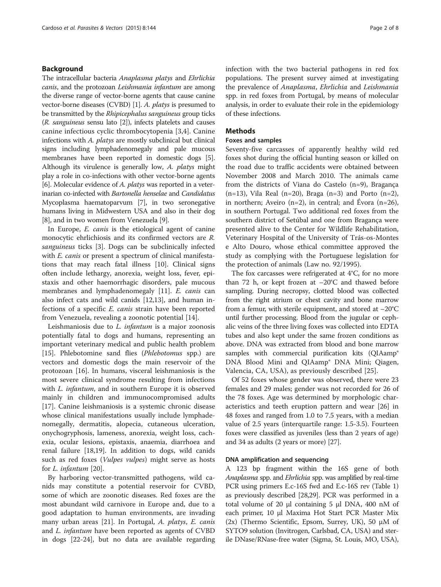#### Background

The intracellular bacteria Anaplasma platys and Ehrlichia canis, and the protozoan Leishmania infantum are among the diverse range of vector-borne agents that cause canine vector-borne diseases (CVBD) [\[1\]](#page-6-0). A. platys is presumed to be transmitted by the Rhipicephalus sanguineus group ticks (R. sanguineus sensu lato [\[2\]](#page-6-0)), infects platelets and causes canine infectious cyclic thrombocytopenia [\[3,4\]](#page-6-0). Canine infections with A. platys are mostly subclinical but clinical signs including lymphadenomegaly and pale mucous membranes have been reported in domestic dogs [[5](#page-6-0)]. Although its virulence is generally low, A. platys might play a role in co-infections with other vector-borne agents [[6\]](#page-6-0). Molecular evidence of A. platys was reported in a veterinarian co-infected with Bartonella henselae and Candidatus Mycoplasma haematoparvum [[7\]](#page-6-0), in two seronegative humans living in Midwestern USA and also in their dog [[8\]](#page-6-0), and in two women from Venezuela [[9](#page-6-0)].

In Europe, E. canis is the etiological agent of canine monocytic ehrlichiosis and its confirmed vectors are R. sanguineus ticks [[3\]](#page-6-0). Dogs can be subclinically infected with *E. canis* or present a spectrum of clinical manifestations that may reach fatal illness [\[10](#page-6-0)]. Clinical signs often include lethargy, anorexia, weight loss, fever, epistaxis and other haemorrhagic disorders, pale mucous membranes and lymphadenomegaly [\[11\]](#page-6-0). E. canis can also infect cats and wild canids [\[12,13](#page-6-0)], and human infections of a specific E. canis strain have been reported from Venezuela, revealing a zoonotic potential [[14\]](#page-6-0).

Leishmaniosis due to L. infantum is a major zoonosis potentially fatal to dogs and humans, representing an important veterinary medical and public health problem [[15\]](#page-6-0). Phlebotomine sand flies (Phlebotomus spp.) are vectors and domestic dogs the main reservoir of the protozoan [\[16](#page-6-0)]. In humans, visceral leishmaniosis is the most severe clinical syndrome resulting from infections with *L. infantum*, and in southern Europe it is observed mainly in children and immunocompromised adults [[17\]](#page-6-0). Canine leishmaniosis is a systemic chronic disease whose clinical manifestations usually include lymphadenomegally, dermatitis, alopecia, cutaneous ulceration, onychogryphosis, lameness, anorexia, weight loss, cachexia, ocular lesions, epistaxis, anaemia, diarrhoea and renal failure [[18,19\]](#page-6-0). In addition to dogs, wild canids such as red foxes (Vulpes vulpes) might serve as hosts for L. infantum [[20](#page-6-0)].

By harboring vector-transmitted pathogens, wild canids may constitute a potential reservoir for CVBD, some of which are zoonotic diseases. Red foxes are the most abundant wild carnivore in Europe and, due to a good adaptation to human environments, are invading many urban areas [\[21\]](#page-6-0). In Portugal, A. platys, E. canis and L. infantum have been reported as agents of CVBD in dogs [[22-24\]](#page-6-0), but no data are available regarding infection with the two bacterial pathogens in red fox populations. The present survey aimed at investigating the prevalence of Anaplasma, Ehrlichia and Leishmania spp. in red foxes from Portugal, by means of molecular analysis, in order to evaluate their role in the epidemiology of these infections.

# **Methods**

#### Foxes and samples

Seventy-five carcasses of apparently healthy wild red foxes shot during the official hunting season or killed on the road due to traffic accidents were obtained between November 2008 and March 2010. The animals came from the districts of Viana do Castelo (n=9), Bragança  $(n=13)$ , Vila Real  $(n=20)$ , Braga  $(n=3)$  and Porto  $(n=2)$ , in northern; Aveiro (n=2), in central; and Évora (n=26), in southern Portugal. Two additional red foxes from the southern district of Setúbal and one from Bragança were presented alive to the Center for Wildlife Rehabilitation, Veterinary Hospital of the University of Trás-os-Montes e Alto Douro, whose ethical committee approved the study as complying with the Portuguese legislation for the protection of animals (Law no. 92/1995).

The fox carcasses were refrigerated at 4°C, for no more than 72 h, or kept frozen at –20°C and thawed before sampling. During necropsy, clotted blood was collected from the right atrium or chest cavity and bone marrow from a femur, with sterile equipment, and stored at –20°C until further processing. Blood from the jugular or cephalic veins of the three living foxes was collected into EDTA tubes and also kept under the same frozen conditions as above. DNA was extracted from blood and bone marrow samples with commercial purification kits (QIAamp® DNA Blood Mini and QIAamp® DNA Mini; Qiagen, Valencia, CA, USA), as previously described [\[25](#page-6-0)].

Of 52 foxes whose gender was observed, there were 23 females and 29 males; gender was not recorded for 26 of the 78 foxes. Age was determined by morphologic characteristics and teeth eruption pattern and wear [\[26\]](#page-6-0) in 48 foxes and ranged from 1.0 to 7.5 years, with a median value of 2.5 years (interquartile range: 1.5-3.5). Fourteen foxes were classified as juveniles (less than 2 years of age) and 34 as adults (2 years or more) [\[27\]](#page-6-0).

#### DNA amplification and sequencing

A 123 bp fragment within the 16S gene of both Anaplasma spp. and Ehrlichia spp. was amplified by real-time PCR using primers E.c-16S fwd and E.c-16S rev (Table [1](#page-2-0)) as previously described [\[28,29](#page-6-0)]. PCR was performed in a total volume of 20 μl containing 5 μl DNA, 400 nM of each primer, 10 μl Maxima Hot Start PCR Master Mix (2x) (Thermo Scientific, Epsom, Surrey, UK), 50 μM of SYTO9 solution (Invitrogen, Carlsbad, CA, USA) and sterile DNase/RNase-free water (Sigma, St. Louis, MO, USA),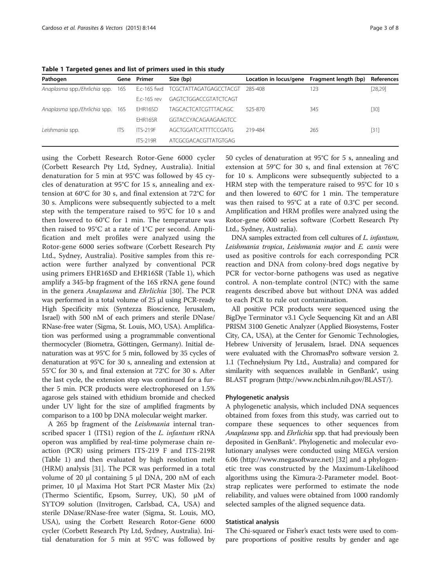<span id="page-2-0"></span>Table 1 Targeted genes and list of primers used in this study

| Pathogen                      |            | Gene Primer     | Size (bp)                   | Location in locus/gene Fragment length (bp) |     | References |
|-------------------------------|------------|-----------------|-----------------------------|---------------------------------------------|-----|------------|
| Anaplasma spp./Ehrlichia spp. | 16S        | F.c-16S fwd     | TCGCTATTAGATGAGCCTACGT      | 285-408                                     | 123 | [28, 29]   |
|                               |            | $F - 16S$ rev   | GAGTCTGGACCGTATCTCAGT       |                                             |     |            |
| Anaplasma spp./Ehrlichia spp. | 16S        | FHR16SD         | <b>TAGCACTCATCGTTTACAGC</b> | 525-870                                     | 345 | [30]       |
|                               |            | FHR16SR         | GGTACCYACAGAAGAAGTCC        |                                             |     |            |
| Leishmania spp.               | <b>ITS</b> | <b>ITS-219F</b> | AGCTGGATCATTTTCCGATG        | 219-484                                     | 265 | $[31]$     |
|                               |            | <b>ITS-219R</b> | ATCGCGACACGTTATGTGAG        |                                             |     |            |

using the Corbett Research Rotor-Gene 6000 cycler (Corbett Research Pty Ltd, Sydney, Australia). Initial denaturation for 5 min at 95°C was followed by 45 cycles of denaturation at 95°C for 15 s, annealing and extension at 60°C for 30 s, and final extension at 72°C for 30 s. Amplicons were subsequently subjected to a melt step with the temperature raised to 95°C for 10 s and then lowered to 60°C for 1 min. The temperature was then raised to 95°C at a rate of 1°C per second. Amplification and melt profiles were analyzed using the Rotor-gene 6000 series software (Corbett Research Pty Ltd., Sydney, Australia). Positive samples from this reaction were further analyzed by conventional PCR using primers EHR16SD and EHR16SR (Table 1), which amplify a 345-bp fragment of the 16S rRNA gene found in the genera Anaplasma and Ehrlichia [[30\]](#page-6-0). The PCR was performed in a total volume of 25 μl using PCR-ready High Specificity mix (Syntezza Bioscience, Jerusalem, Israel) with 500 nM of each primers and sterile DNase/ RNase-free water (Sigma, St. Louis, MO, USA). Amplification was performed using a programmable conventional thermocycler (Biometra, Göttingen, Germany). Initial denaturation was at 95°C for 5 min, followed by 35 cycles of denaturation at 95°C for 30 s, annealing and extension at 55°C for 30 s, and final extension at 72°C for 30 s. After the last cycle, the extension step was continued for a further 5 min. PCR products were electrophoresed on 1.5% agarose gels stained with ethidium bromide and checked under UV light for the size of amplified fragments by comparison to a 100 bp DNA molecular weight marker.

A 265 bp fragment of the Leishmania internal transcribed spacer 1 (ITS1) region of the *L. infantum* rRNA operon was amplified by real-time polymerase chain reaction (PCR) using primers ITS-219 F and ITS-219R (Table 1) and then evaluated by high resolution melt (HRM) analysis [\[31](#page-6-0)]. The PCR was performed in a total volume of 20 μl containing 5 μl DNA, 200 nM of each primer, 10 μl Maxima Hot Start PCR Master Mix (2x) (Thermo Scientific, Epsom, Surrey, UK), 50 μM of SYTO9 solution (Invitrogen, Carlsbad, CA, USA) and sterile DNase/RNase-free water (Sigma, St. Louis, MO, USA), using the Corbett Research Rotor-Gene 6000 cycler (Corbett Research Pty Ltd, Sydney, Australia). Initial denaturation for 5 min at 95°C was followed by

50 cycles of denaturation at 95°C for 5 s, annealing and extension at 59°C for 30 s, and final extension at 76°C for 10 s. Amplicons were subsequently subjected to a HRM step with the temperature raised to 95°C for 10 s and then lowered to 60°C for 1 min. The temperature was then raised to 95°C at a rate of 0.3°C per second. Amplification and HRM profiles were analyzed using the Rotor-gene 6000 series software (Corbett Research Pty Ltd., Sydney, Australia).

DNA samples extracted from cell cultures of L. infantum, Leishmania tropica, Leishmania major and E. canis were used as positive controls for each corresponding PCR reaction and DNA from colony-bred dogs negative by PCR for vector-borne pathogens was used as negative control. A non-template control (NTC) with the same reagents described above but without DNA was added to each PCR to rule out contamination.

All positive PCR products were sequenced using the BigDye Terminator v3.1 Cycle Sequencing Kit and an ABI PRISM 3100 Genetic Analyzer (Applied Biosystems, Foster City, CA, USA), at the Center for Genomic Technologies, Hebrew University of Jerusalem, Israel. DNA sequences were evaluated with the ChromasPro software version 2. 1.1 (Technelysium Pty Ltd., Australia) and compared for similarity with sequences available in GenBank®, using BLAST program [\(http://www.ncbi.nlm.nih.gov/BLAST/](http://www.ncbi.nlm.nih.gov/BLAST/)).

#### Phylogenetic analysis

A phylogenetic analysis, which included DNA sequences obtained from foxes from this study, was carried out to compare these sequences to other sequences from Anaplasma spp. and *Ehrlichia* spp. that had previously been deposited in GenBank®. Phylogenetic and molecular evolutionary analyses were conducted using MEGA version 6.06 ([http://www.megasoftware.net\)](http://www.megasoftware.net/) [[32\]](#page-6-0) and a phylogenetic tree was constructed by the Maximum-Likelihood algorithms using the Kimura-2-Parameter model. Bootstrap replicates were performed to estimate the node reliability, and values were obtained from 1000 randomly selected samples of the aligned sequence data.

#### Statistical analysis

The Chi-squared or Fisher's exact tests were used to compare proportions of positive results by gender and age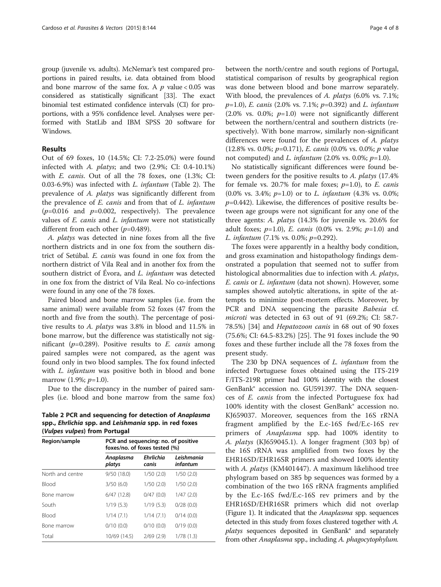group (juvenile vs. adults). McNemar's test compared proportions in paired results, i.e. data obtained from blood and bone marrow of the same fox. A  $p$  value < 0.05 was considered as statistically significant [\[33\]](#page-7-0). The exact binomial test estimated confidence intervals (CI) for proportions, with a 95% confidence level. Analyses were performed with StatLib and IBM SPSS 20 software for Windows.

# Results

Out of 69 foxes, 10 (14.5%; CI: 7.2-25.0%) were found infected with A. platys; and two (2.9%; CI: 0.4-10.1%) with E. canis. Out of all the 78 foxes, one (1.3%; CI: 0.03-6.9%) was infected with L. infantum (Table 2). The prevalence of A. platys was significantly different from the prevalence of E. canis and from that of L. infantum  $(p=0.016$  and  $p=0.002$ , respectively). The prevalence values of E. canis and L. infantum were not statistically different from each other  $(p=0.489)$ .

A. platys was detected in nine foxes from all the five northern districts and in one fox from the southern district of Setúbal. E. canis was found in one fox from the northern district of Vila Real and in another fox from the southern district of Évora, and L. infantum was detected in one fox from the district of Vila Real. No co-infections were found in any one of the 78 foxes.

Paired blood and bone marrow samples (i.e. from the same animal) were available from 52 foxes (47 from the north and five from the south). The percentage of positive results to A. platys was 3.8% in blood and 11.5% in bone marrow, but the difference was statistically not significant ( $p=0.289$ ). Positive results to *E. canis* among paired samples were not compared, as the agent was found only in two blood samples. The fox found infected with *L. infantum* was positive both in blood and bone marrow  $(1.9\%; p=1.0)$ .

Due to the discrepancy in the number of paired samples (i.e. blood and bone marrow from the same fox)

Table 2 PCR and sequencing for detection of Anaplasma spp., Ehrlichia spp. and Leishmania spp. in red foxes (Vulpes vulpes) from Portugal

| Region/sample    | PCR and sequencing: no. of positive<br>foxes/no. of foxes tested (%) |                           |                        |  |
|------------------|----------------------------------------------------------------------|---------------------------|------------------------|--|
|                  | Anaplasma<br>platys                                                  | <b>Ehrlichia</b><br>canis | Leishmania<br>infantum |  |
| North and centre | 9/50(18.0)                                                           | 1/50(2.0)                 | 1/50(2.0)              |  |
| <b>Blood</b>     | 3/50(6.0)                                                            | 1/50(2.0)                 | 1/50(2.0)              |  |
| Bone marrow      | 6/47(12.8)                                                           | 0/47(0.0)                 | 1/47(2.0)              |  |
| South            | 1/19(5.3)                                                            | 1/19(5.3)                 | 0/28(0.0)              |  |
| <b>Blood</b>     | 1/14(7.1)                                                            | 1/14(7.1)                 | 0/14(0.0)              |  |
| Bone marrow      | 0/10(0.0)                                                            | 0/10(0.0)                 | 0/19(0.0)              |  |
| Total            | 10/69 (14.5)                                                         | 2/69(2.9)                 | 1/78(1.3)              |  |

between the north/centre and south regions of Portugal, statistical comparison of results by geographical region was done between blood and bone marrow separately. With blood, the prevalences of A. platys (6.0% vs. 7.1%;  $p=1.0$ ), E. canis (2.0% vs. 7.1%;  $p=0.392$ ) and L. infantum  $(2.0\% \text{ vs. } 0.0\%; p=1.0)$  were not significantly different between the northern/central and southern districts (respectively). With bone marrow, similarly non-significant differences were found for the prevalences of A. platys (12.8% vs. 0.0%; p=0.171), E. canis (0.0% vs. 0.0%; p value not computed) and *L. infantum* (2.0% vs. 0.0%;  $p=1.0$ ).

No statistically significant differences were found between genders for the positive results to A. platys (17.4% for female vs. 20.7% for male foxes;  $p=1.0$ ), to E. canis  $(0.0\% \text{ vs. } 3.4\%; p=1.0) \text{ or to } L.$  infantum  $(4.3\% \text{ vs. } 0.0\%;$  $p=0.442$ ). Likewise, the differences of positive results between age groups were not significant for any one of the three agents: A. platys (14.3% for juvenile vs. 20.6% for adult foxes;  $p=1.0$ ), E. canis (0.0% vs. 2.9%;  $p=1.0$ ) and L. infantum (7.1% vs. 0.0%; p=0.292).

The foxes were apparently in a healthy body condition, and gross examination and histopathology findings demonstrated a population that seemed not to suffer from histological abnormalities due to infection with A. platys, E. canis or L. infantum (data not shown). However, some samples showed autolytic alterations, in spite of the attempts to minimize post-mortem effects. Moreover, by PCR and DNA sequencing the parasite Babesia cf. microti was detected in 63 out of 91 (69.2%; CI: 58.7- 78.5%) [\[34](#page-7-0)] and Hepatozoon canis in 68 out of 90 foxes (75.6%; CI: 64.5-83.2%) [[25](#page-6-0)]. The 91 foxes include the 90 foxes and these further include all the 78 foxes from the present study.

The 230 bp DNA sequences of *L. infantum* from the infected Portuguese foxes obtained using the ITS-219 F/ITS-219R primer had 100% identity with the closest GenBank® accession no. GU591397. The DNA sequences of E. canis from the infected Portuguese fox had 100% identity with the closest GenBank® accession no. KJ659037. Moreover, sequences from the 16S rRNA fragment amplified by the E.c-16S fwd/E.c-16S rev primers of Anaplasma spp. had 100% identity to A. platys (KJ659045.1). A longer fragment (303 bp) of the 16S rRNA was amplified from two foxes by the EHR16SD/EHR16SR primers and showed 100% identity with A. platys (KM401447). A maximum likelihood tree phylogram based on 385 bp sequences was formed by a combination of the two 16S rRNA fragments amplified by the E.c-16S fwd/E.c-16S rev primers and by the EHR16SD/EHR16SR primers which did not overlap (Figure [1](#page-4-0)). It indicated that the Anaplasma spp. sequences detected in this study from foxes clustered together with A. platys sequences deposited in GenBank® and separately from other Anaplasma spp., including A. phagocytophylum.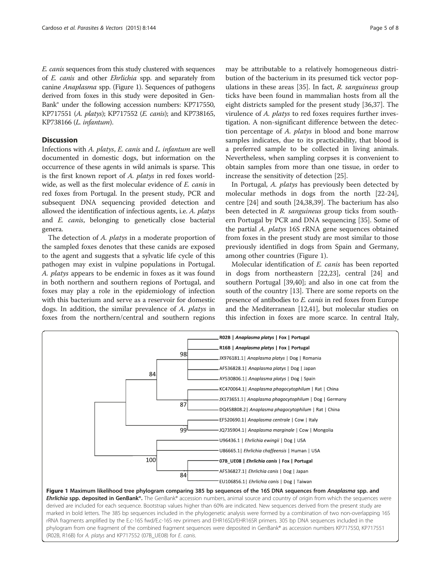<span id="page-4-0"></span>E. canis sequences from this study clustered with sequences of E. canis and other Ehrlichia spp. and separately from canine Anaplasma spp. (Figure 1). Sequences of pathogens derived from foxes in this study were deposited in Gen-Bank® under the following accession numbers: KP717550, KP717551 (A. platys); KP717552 (E. canis); and KP738165, KP738166 (L. infantum).

# **Discussion**

Infections with A. platys, E. canis and L. infantum are well documented in domestic dogs, but information on the occurrence of these agents in wild animals is sparse. This is the first known report of A. platys in red foxes worldwide, as well as the first molecular evidence of E. canis in red foxes from Portugal. In the present study, PCR and subsequent DNA sequencing provided detection and allowed the identification of infectious agents, i.e. A. platys and E. canis, belonging to genetically close bacterial genera.

The detection of A. *platys* in a moderate proportion of the sampled foxes denotes that these canids are exposed to the agent and suggests that a sylvatic life cycle of this pathogen may exist in vulpine populations in Portugal. A. platys appears to be endemic in foxes as it was found in both northern and southern regions of Portugal, and foxes may play a role in the epidemiology of infection with this bacterium and serve as a reservoir for domestic dogs. In addition, the similar prevalence of A. platys in foxes from the northern/central and southern regions may be attributable to a relatively homogeneous distribution of the bacterium in its presumed tick vector populations in these areas  $[35]$  $[35]$ . In fact, R. sanguineus group ticks have been found in mammalian hosts from all the eight districts sampled for the present study [\[36,37](#page-7-0)]. The virulence of A. platys to red foxes requires further investigation. A non-significant difference between the detection percentage of A. platys in blood and bone marrow samples indicates, due to its practicability, that blood is a preferred sample to be collected in living animals. Nevertheless, when sampling corpses it is convenient to obtain samples from more than one tissue, in order to increase the sensitivity of detection [[25\]](#page-6-0).

In Portugal, A. platys has previously been detected by molecular methods in dogs from the north [\[22-24](#page-6-0)], centre [[24](#page-6-0)] and south [[24,](#page-6-0)[38,39\]](#page-7-0). The bacterium has also been detected in R. sanguineus group ticks from southern Portugal by PCR and DNA sequencing [[35\]](#page-7-0). Some of the partial A. platys 16S rRNA gene sequences obtained from foxes in the present study are most similar to those previously identified in dogs from Spain and Germany, among other countries (Figure 1).

Molecular identification of E. canis has been reported in dogs from northeastern [[22](#page-6-0),[23](#page-6-0)], central [\[24\]](#page-6-0) and southern Portugal [\[39,40\]](#page-7-0); and also in one cat from the south of the country [[13\]](#page-6-0). There are some reports on the presence of antibodies to E. canis in red foxes from Europe and the Mediterranean [[12](#page-6-0)[,41\]](#page-7-0), but molecular studies on this infection in foxes are more scarce. In central Italy,



rRNA fragments amplified by the E.c-16S fwd/E.c-16S rev primers and EHR16SD/EHR16SR primers. 305 bp DNA sequences included in the phylogram from one fragment of the combined fragment sequences were deposited in GenBank® as accession numbers KP717550, KP717551 (R02B, R16B) for A. platys and KP717552 (07B\_UE08) for E. canis.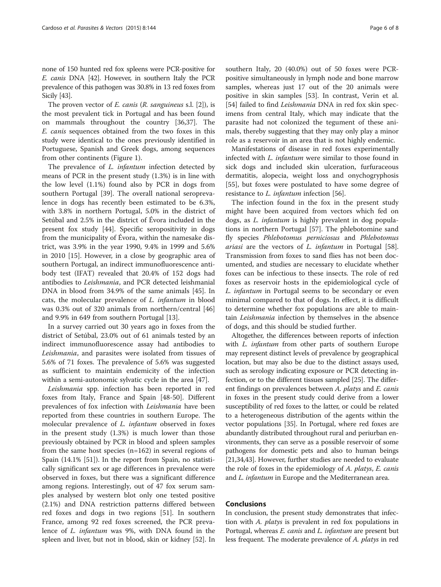none of 150 hunted red fox spleens were PCR-positive for E. canis DNA [[42](#page-7-0)]. However, in southern Italy the PCR prevalence of this pathogen was 30.8% in 13 red foxes from Sicily [\[43](#page-7-0)].

The proven vector of  $E$ . canis ( $R$ . sanguineus s.l. [[2\]](#page-6-0)), is the most prevalent tick in Portugal and has been found on mammals throughout the country [[36,37](#page-7-0)]. The E. canis sequences obtained from the two foxes in this study were identical to the ones previously identified in Portuguese, Spanish and Greek dogs, among sequences from other continents (Figure [1\)](#page-4-0).

The prevalence of *L. infantum* infection detected by means of PCR in the present study (1.3%) is in line with the low level (1.1%) found also by PCR in dogs from southern Portugal [\[39\]](#page-7-0). The overall national seroprevalence in dogs has recently been estimated to be 6.3%, with 3.8% in northern Portugal, 5.0% in the district of Setúbal and 2.5% in the district of Évora included in the present fox study [\[44\]](#page-7-0). Specific seropositivity in dogs from the municipality of Évora, within the namesake district, was 3.9% in the year 1990, 9.4% in 1999 and 5.6% in 2010 [\[15\]](#page-6-0). However, in a close by geographic area of southern Portugal, an indirect immunofluorescence antibody test (IFAT) revealed that 20.4% of 152 dogs had antibodies to Leishmania, and PCR detected leishmanial DNA in blood from 34.9% of the same animals [[45\]](#page-7-0). In cats, the molecular prevalence of L. infantum in blood was 0.3% out of 320 animals from northern/central [[46](#page-7-0)] and 9.9% in 649 from southern Portugal [[13](#page-6-0)].

In a survey carried out 30 years ago in foxes from the district of Setúbal, 23.0% out of 61 animals tested by an indirect immunofluorescence assay had antibodies to Leishmania, and parasites were isolated from tissues of 5.6% of 71 foxes. The prevalence of 5.6% was suggested as sufficient to maintain endemicity of the infection within a semi-autonomic sylvatic cycle in the area [[47](#page-7-0)].

Leishmania spp. infection has been reported in red foxes from Italy, France and Spain [[48-50](#page-7-0)]. Different prevalences of fox infection with Leishmania have been reported from these countries in southern Europe. The molecular prevalence of L. infantum observed in foxes in the present study (1.3%) is much lower than those previously obtained by PCR in blood and spleen samples from the same host species (n=162) in several regions of Spain (14.1% [\[51](#page-7-0)]). In the report from Spain, no statistically significant sex or age differences in prevalence were observed in foxes, but there was a significant difference among regions. Interestingly, out of 47 fox serum samples analysed by western blot only one tested positive (2.1%) and DNA restriction patterns differed between red foxes and dogs in two regions [\[51](#page-7-0)]. In southern France, among 92 red foxes screened, the PCR prevalence of L. infantum was 9%, with DNA found in the spleen and liver, but not in blood, skin or kidney [[52](#page-7-0)]. In

southern Italy, 20 (40.0%) out of 50 foxes were PCRpositive simultaneously in lymph node and bone marrow samples, whereas just 17 out of the 20 animals were positive in skin samples [[53\]](#page-7-0). In contrast, Verin et al. [[54\]](#page-7-0) failed to find *Leishmania* DNA in red fox skin specimens from central Italy, which may indicate that the parasite had not colonized the tegument of these animals, thereby suggesting that they may only play a minor role as a reservoir in an area that is not highly endemic.

Manifestations of disease in red foxes experimentally infected with *L. infantum* were similar to those found in sick dogs and included skin ulceration, furfuraceous dermatitis, alopecia, weight loss and onychogryphosis [[55\]](#page-7-0), but foxes were postulated to have some degree of resistance to L. infantum infection [\[56\]](#page-7-0).

The infection found in the fox in the present study might have been acquired from vectors which fed on dogs, as *L. infantum* is highly prevalent in dog populations in northern Portugal [\[57\]](#page-7-0). The phlebotomine sand fly species Phlebotomus perniciosus and Phlebotomus ariasi are the vectors of L. infantum in Portugal [\[58](#page-7-0)]. Transmission from foxes to sand flies has not been documented, and studies are necessary to elucidate whether foxes can be infectious to these insects. The role of red foxes as reservoir hosts in the epidemiological cycle of L. infantum in Portugal seems to be secondary or even minimal compared to that of dogs. In effect, it is difficult to determine whether fox populations are able to maintain Leishmania infection by themselves in the absence of dogs, and this should be studied further.

Altogether, the differences between reports of infection with L. infantum from other parts of southern Europe may represent distinct levels of prevalence by geographical location, but may also be due to the distinct assays used, such as serology indicating exposure or PCR detecting infection, or to the different tissues sampled [\[25\]](#page-6-0). The different findings on prevalences between A. *platys* and *E. canis* in foxes in the present study could derive from a lower susceptibility of red foxes to the latter, or could be related to a heterogeneous distribution of the agents within the vector populations [\[35\]](#page-7-0). In Portugal, where red foxes are abundantly distributed throughout rural and periurban environments, they can serve as a possible reservoir of some pathogens for domestic pets and also to human beings [[21](#page-6-0)[,34,43\]](#page-7-0). However, further studies are needed to evaluate the role of foxes in the epidemiology of A. platys, E. canis and L. infantum in Europe and the Mediterranean area.

## Conclusions

In conclusion, the present study demonstrates that infection with A. platys is prevalent in red fox populations in Portugal, whereas *E. canis* and *L. infantum* are present but less frequent. The moderate prevalence of A. platys in red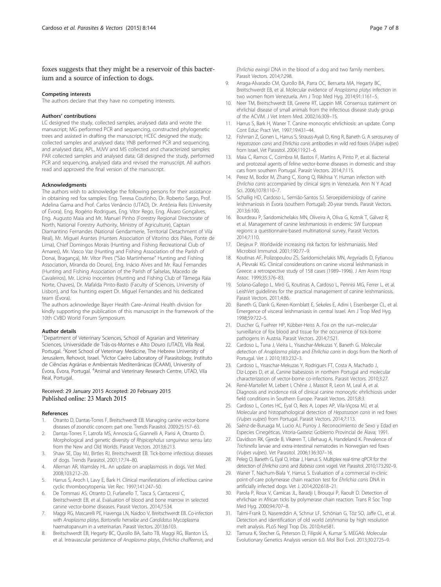## <span id="page-6-0"></span>foxes suggests that they might be a reservoir of this bacterium and a source of infection to dogs.

#### Competing interests

The authors declare that they have no competing interests.

#### Authors' contributions

LC designed the study, collected samples, analysed data and wrote the manuscript; MG performed PCR and sequencing, constructed phylogenetic trees and assisted in drafting the manuscript; HCEC designed the study, collected samples and analysed data; YNB performed PCR and sequencing, and analysed data; APL, MJVV and MS collected and characterized samples; PAR collected samples and analysed data; GB designed the study, performed PCR and sequencing, analysed data and revised the manuscript. All authors read and approved the final version of the manuscript.

#### Acknowledgments

The authors wish to acknowledge the following persons for their assistance in obtaining red fox samples: Eng. Teresa Coutinho, Dr. Roberto Sargo, Prof. Adelina Gama and Prof. Carlos Venâncio (UTAD), Dr. Antónia Reis (University of Évora), Eng. Rogério Rodrigues, Eng. Vítor Rego, Eng. Álvaro Gonçalves, Eng. Augusto Maia and Mr. Manuel Pinho (Forestry Regional Directorate of North, National Forestry Authority, Ministry of Agriculture), Captain Diamantino Fernandes (National Gendarmerie, Territorial Detachment of Vila Real), Mr. Miguel Arantes (Hunters Association of Vitorino dos Piães, Ponte de Lima), Chief Domingos Morais (Hunting and Fishing Recreational Club of Amares), Mr. Vasco Vaz (Hunting and Fishing Association of the Parish of Donai, Bragança), Mr. Vítor Pires ("São Martinhense" Hunting and Fishing Association, Miranda do Douro), Eng. Inácio Alves and Mr. Raul Fernandes (Hunting and Fishing Association of the Parish of Salselas, Macedo de Cavaleiros), Mr. Licínio Inocentes (Hunting and Fishing Club of Tâmega Raia Norte, Chaves), Dr. Mafalda Pinto-Basto (Faculty of Sciences, University of Lisbon), and fox hunting expert Dr. Miguel Fernandes and his dedicated team (Évora).

The authors acknowledge Bayer Health Care–Animal Health division for kindly supporting the publication of this manuscript in the framework of the 10th CVBD World Forum Symposium.

#### Author details

<sup>1</sup>Department of Veterinary Sciences, School of Agrarian and Veterinary Sciences, Universidade de Trás-os-Montes e Alto Douro (UTAD), Vila Real, Portugal. <sup>2</sup> Koret School of Veterinary Medicine, The Hebrew University of Jerusalem, Rehovot, Israel. <sup>3</sup>Victor Caeiro Laboratory of Parasitology, Instituto de Ciências Agrárias e Ambientais Mediterrânicas (ICAAM), University of Évora, Évora, Portugal. <sup>4</sup>Animal and Veterinary Research Centre, UTAD, Vila Real, Portugal.

## Received: 29 January 2015 Accepted: 20 February 2015 Published online: 23 March 2015

#### References

- Otranto D, Dantas-Torres F, Breitschwerdt EB. Managing canine vector-borne diseases of zoonotic concern: part one. Trends Parasitol. 2009;25:157–63.
- 2. Dantas-Torres F, Latrofa MS, Annoscia G, Giannelli A, Parisi A, Otranto D. Morphological and genetic diversity of Rhipicephalus sanguineus sensu lato from the New and Old Worlds. Parasit Vectors. 2013;6:213.
- 3. Shaw SE, Day MJ, Birtles RJ, Breitschwerdt EB. Tick-borne infectious diseases of dogs. Trends Parasitol. 2001;17:74–80.
- 4. Alleman AR, Wamsley HL. An update on anaplasmosis in dogs. Vet Med. 2008;103:212–20.
- 5. Harrus S, Aroch I, Lavy E, Bark H. Clinical manifestations of infectious canine cyclic thrombocytopenia. Vet Rec. 1997;141:247–50.
- 6. De Tommasi AS, Otranto D, Furlanello T, Tasca S, Cantacessi C, Breitschwerdt EB, et al. Evaluation of blood and bone marrow in selected canine vector-borne diseases. Parasit Vectors. 2014;7:534.
- 7. Maggi RG, Mascarelli PE, Havenga LN, Naidoo V, Breitschwerdt EB. Co-infection with Anaplasma platys, Bartonella henselae and Candidatus Mycoplasma haematoparvum in a veterinarian. Parasit Vectors. 2013;6:103.
- 8. Breitschwerdt EB, Hegarty BC, Qurollo BA, Saito TB, Maggi RG, Blanton LS, et al. Intravascular persistence of Anaplasma platys, Ehrlichia chaffeensis, and

Ehrlichia ewingii DNA in the blood of a dog and two family members. Parasit Vectors. 2014;7:298.

- 9. Arraga-Alvarado CM, Qurollo BA, Parra OC, Berrueta MA, Hegarty BC, Breitschwerdt EB, et al. Molecular evidence of Anaplasma platys infection in two women from Venezuela. Am J Trop Med Hyg. 2014;91:1161–5.
- 10. Neer TM, Breitschwerdt EB, Greene RT, Lappin MR. Consensus statement on ehrlichial disease of small animals from the infectious disease study group of the ACVIM. J Vet Intern Med. 2002;16:309–15.
- 11. Harrus S, Bark H, Waner T. Canine monocytic ehrlichiosis: an update. Comp Cont Educ Pract Vet. 1997;19:431–44.
- 12. Fishman Z, Gonen L, Harrus S, Strauss-Ayali D, King R, Baneth G. A serosurvey of Hepatozoon canis and Ehrlichia canis antibodies in wild red foxes (Vulpes vulpes) from Israel. Vet Parasitol. 2004;119:21–6.
- 13. Maia C, Ramos C, Coimbra M, Bastos F, Martins A, Pinto P, et al. Bacterial and protozoal agents of feline vector-borne diseases in domestic and stray cats from southern Portugal. Parasit Vectors. 2014;7:115.
- 14. Perez M, Bodor M, Zhang C, Xiong Q, Rikihisa Y. Human infection with Ehrlichia canis accompanied by clinical signs in Venezuela. Ann N Y Acad Sci. 2006;1078:110–7.
- 15. Schallig HD, Cardoso L, Semião-Santos SJ. Seroepidemiology of canine leishmaniosis in Évora (southern Portugal): 20-year trends. Parasit Vectors. 2013;6:100.
- 16. Bourdeau P, Saridomichelakis MN, Oliveira A, Oliva G, Kotnik T, Gálvez R, et al. Management of canine leishmaniosis in endemic SW European regions: a questionnaire-based multinational survey. Parasit Vectors. 2014;7:110.
- 17. Desjeux P. Worldwide increasing risk factors for leishmaniasis. Med Microbiol Immunol. 2001;190:77–9.
- 18. Koutinas AF, Polizopoulou ZS, Saridomichelakis MN, Argyriadis D, Fytianou A, Plevraki KG. Clinical considerations on canine visceral leishmaniasis in Greece: a retrospective study of 158 cases (1989–1996). J Am Anim Hosp Assoc. 1999;35:376–83.
- 19. Solano-Gallego L, Miró G, Koutinas A, Cardoso L, Pennisi MG, Ferrer L, et al. LeishVet guidelines for the practical management of canine leishmaniosis. Parasit Vectors. 2011;4:86.
- 20. Baneth G, Dank G, Keren-Kornblatt E, Sekeles E, Adini I, Eisenberger CL, et al. Emergence of visceral leishmaniasis in central Israel. Am J Trop Med Hyg. 1998;59:722–5.
- 21. Duscher G, Fuehrer HP, Kübber-Heiss A. Fox on the run–molecular surveillance of fox blood and tissue for the occurrence of tick-borne pathogens in Austria. Parasit Vectors. 2014;7:521.
- 22. Cardoso L, Tuna J, Vieira L, Yisaschar-Mekuzas Y, Baneth G. Molecular detection of Anaplasma platys and Ehrlichia canis in dogs from the North of Portugal. Vet J. 2010;183:232–3.
- 23. Cardoso L, Yisaschar-Mekuzas Y, Rodrigues FT, Costa A, Machado J, Diz-Lopes D, et al. Canine babesiosis in northern Portugal and molecular characterization of vector-borne co-infections. Parasit Vectors. 2010;3:27.
- 24. René-Martellet M, Lebert I, Chêne J, Massot R, Leon M, Leal A, et al. Diagnosis and incidence risk of clinical canine monocytic ehrlichiosis under field conditions in Southern Europe. Parasit Vectors. 2015;8:3.
- 25. Cardoso L, Cortes HC, Eyal O, Reis A, Lopes AP, Vila-Viçosa MJ, et al. Molecular and histopathological detection of Hepatozoon canis in red foxes (Vulpes vulpes) from Portugal. Parasit Vectors. 2014;7:113.
- 26. Saénz-de-Buruaga M, Lucio AJ, Purroy J. Reconocimiento de Sexo y Edad en Especies Cinegéticas. Vitoria-Gasteiz: Gobierno Provincial de Álava; 1991.
- 27. Davidson RK, Gjerde B, Vikøren T, Lillehaug A, Handeland K. Prevalence of Trichinella larvae and extra-intestinal nematodes in Norwegian red foxes (Vulpes vulpes). Vet Parasitol. 2006;136:307–16.
- 28. Peleg O, Baneth G, Eyal O, Inbar J, Harrus S. Multiplex real-time qPCR for the detection of Ehrlichia canis and Babesia canis vogeli. Vet Parasitol. 2010;173:292–9.
- 29. Waner T, Nachum-Biala Y, Harrus S. Evaluation of a commercial in-clinic point-of-care polymerase chain reaction test for Ehrlichia canis DNA in artificially infected dogs. Vet J. 2014;202:618–21.
- 30. Parola P, Roux V, Camicas JL, Baradji I, Brouqui P, Raoult D. Detection of ehrlichiae in African ticks by polymerase chain reaction. Trans R Soc Trop Med Hyg. 2000;94:707–8.
- 31. Talmi-Frank D, Nasereddin A, Schnur LF, Schönian G, Töz SO, Jaffe CL, et al. Detection and identification of old world Leishmania by high resolution melt analysis. PLoS Negl Trop Dis. 2010;4:e581.
- 32. Tamura K, Stecher G, Peterson D, Filipski A, Kumar S. MEGA6: Molecular Evolutionary Genetics Analysis version 6.0. Mol Biol Evol. 2013;30:2725–9.